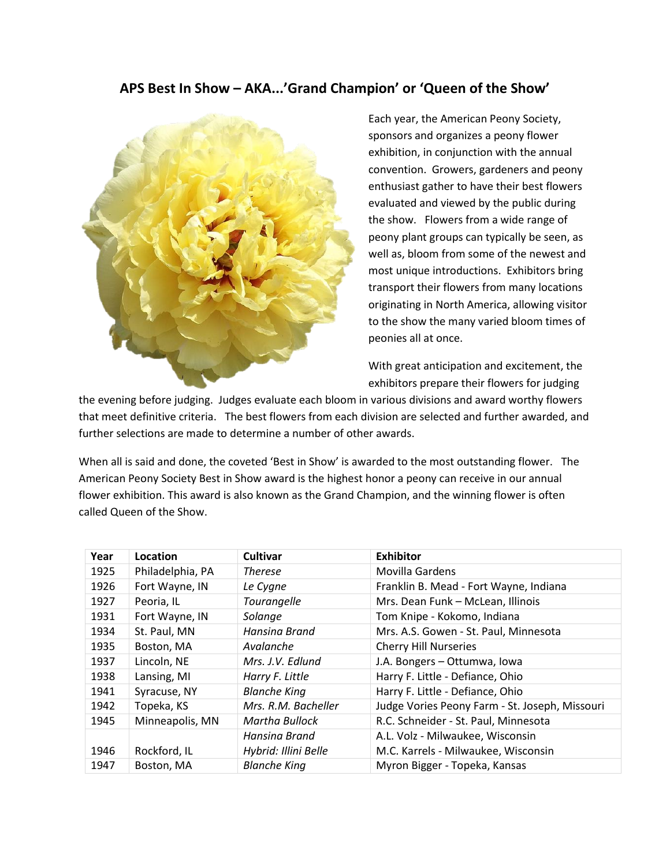## **APS Best In Show – AKA...'Grand Champion' or 'Queen of the Show'**



Each year, the American Peony Society, sponsors and organizes a peony flower exhibition, in conjunction with the annual convention. Growers, gardeners and peony enthusiast gather to have their best flowers evaluated and viewed by the public during the show. Flowers from a wide range of peony plant groups can typically be seen, as well as, bloom from some of the newest and most unique introductions. Exhibitors bring transport their flowers from many locations originating in North America, allowing visitor to the show the many varied bloom times of peonies all at once.

With great anticipation and excitement, the exhibitors prepare their flowers for judging

the evening before judging. Judges evaluate each bloom in various divisions and award worthy flowers that meet definitive criteria. The best flowers from each division are selected and further awarded, and further selections are made to determine a number of other awards.

When all is said and done, the coveted 'Best in Show' is awarded to the most outstanding flower. The American Peony Society Best in Show award is the highest honor a peony can receive in our annual flower exhibition. This award is also known as the Grand Champion, and the winning flower is often called Queen of the Show.

| Year | Location         | <b>Cultivar</b>      | <b>Exhibitor</b>                               |
|------|------------------|----------------------|------------------------------------------------|
| 1925 | Philadelphia, PA | <b>Therese</b>       | Movilla Gardens                                |
| 1926 | Fort Wayne, IN   | Le Cygne             | Franklin B. Mead - Fort Wayne, Indiana         |
| 1927 | Peoria, IL       | Tourangelle          | Mrs. Dean Funk - McLean, Illinois              |
| 1931 | Fort Wayne, IN   | Solange              | Tom Knipe - Kokomo, Indiana                    |
| 1934 | St. Paul, MN     | Hansina Brand        | Mrs. A.S. Gowen - St. Paul, Minnesota          |
| 1935 | Boston, MA       | Avalanche            | <b>Cherry Hill Nurseries</b>                   |
| 1937 | Lincoln, NE      | Mrs. J.V. Edlund     | J.A. Bongers - Ottumwa, Iowa                   |
| 1938 | Lansing, MI      | Harry F. Little      | Harry F. Little - Defiance, Ohio               |
| 1941 | Syracuse, NY     | <b>Blanche King</b>  | Harry F. Little - Defiance, Ohio               |
| 1942 | Topeka, KS       | Mrs. R.M. Bacheller  | Judge Vories Peony Farm - St. Joseph, Missouri |
| 1945 | Minneapolis, MN  | Martha Bullock       | R.C. Schneider - St. Paul, Minnesota           |
|      |                  | Hansina Brand        | A.L. Volz - Milwaukee, Wisconsin               |
| 1946 | Rockford, IL     | Hybrid: Illini Belle | M.C. Karrels - Milwaukee, Wisconsin            |
| 1947 | Boston, MA       | <b>Blanche King</b>  | Myron Bigger - Topeka, Kansas                  |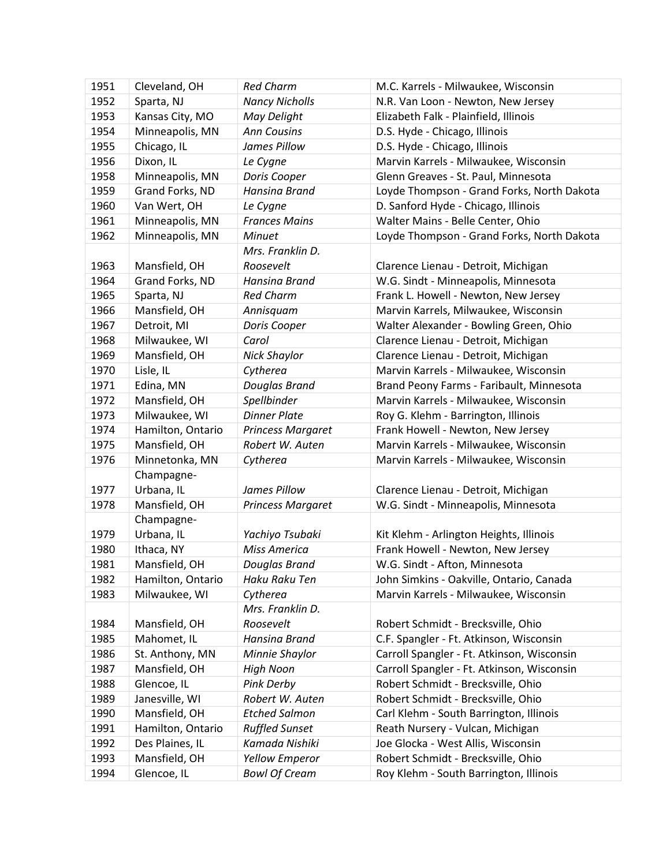| 1951 | Cleveland, OH     | <b>Red Charm</b>         | M.C. Karrels - Milwaukee, Wisconsin        |
|------|-------------------|--------------------------|--------------------------------------------|
| 1952 | Sparta, NJ        | <b>Nancy Nicholls</b>    | N.R. Van Loon - Newton, New Jersey         |
| 1953 | Kansas City, MO   | May Delight              | Elizabeth Falk - Plainfield, Illinois      |
| 1954 | Minneapolis, MN   | <b>Ann Cousins</b>       | D.S. Hyde - Chicago, Illinois              |
| 1955 | Chicago, IL       | James Pillow             | D.S. Hyde - Chicago, Illinois              |
| 1956 | Dixon, IL         | Le Cygne                 | Marvin Karrels - Milwaukee, Wisconsin      |
| 1958 | Minneapolis, MN   | Doris Cooper             | Glenn Greaves - St. Paul, Minnesota        |
| 1959 | Grand Forks, ND   | Hansina Brand            | Loyde Thompson - Grand Forks, North Dakota |
| 1960 | Van Wert, OH      | Le Cygne                 | D. Sanford Hyde - Chicago, Illinois        |
| 1961 | Minneapolis, MN   | <b>Frances Mains</b>     | Walter Mains - Belle Center, Ohio          |
| 1962 | Minneapolis, MN   | Minuet                   | Loyde Thompson - Grand Forks, North Dakota |
|      |                   | Mrs. Franklin D.         |                                            |
| 1963 | Mansfield, OH     | Roosevelt                | Clarence Lienau - Detroit, Michigan        |
| 1964 | Grand Forks, ND   | Hansina Brand            | W.G. Sindt - Minneapolis, Minnesota        |
| 1965 | Sparta, NJ        | <b>Red Charm</b>         | Frank L. Howell - Newton, New Jersey       |
| 1966 | Mansfield, OH     | Annisquam                | Marvin Karrels, Milwaukee, Wisconsin       |
| 1967 | Detroit, MI       | Doris Cooper             | Walter Alexander - Bowling Green, Ohio     |
| 1968 | Milwaukee, WI     | Carol                    | Clarence Lienau - Detroit, Michigan        |
| 1969 | Mansfield, OH     | <b>Nick Shaylor</b>      | Clarence Lienau - Detroit, Michigan        |
| 1970 | Lisle, IL         | Cytherea                 | Marvin Karrels - Milwaukee, Wisconsin      |
| 1971 | Edina, MN         | Douglas Brand            | Brand Peony Farms - Faribault, Minnesota   |
| 1972 | Mansfield, OH     | Spellbinder              | Marvin Karrels - Milwaukee, Wisconsin      |
| 1973 | Milwaukee, WI     | <b>Dinner Plate</b>      | Roy G. Klehm - Barrington, Illinois        |
| 1974 | Hamilton, Ontario | Princess Margaret        | Frank Howell - Newton, New Jersey          |
| 1975 | Mansfield, OH     | Robert W. Auten          | Marvin Karrels - Milwaukee, Wisconsin      |
| 1976 | Minnetonka, MN    | Cytherea                 | Marvin Karrels - Milwaukee, Wisconsin      |
|      | Champagne-        |                          |                                            |
| 1977 | Urbana, IL        | James Pillow             | Clarence Lienau - Detroit, Michigan        |
| 1978 | Mansfield, OH     | <b>Princess Margaret</b> | W.G. Sindt - Minneapolis, Minnesota        |
|      | Champagne-        |                          |                                            |
| 1979 | Urbana, IL        | Yachiyo Tsubaki          | Kit Klehm - Arlington Heights, Illinois    |
| 1980 | Ithaca, NY        | Miss America             | Frank Howell - Newton, New Jersey          |
| 1981 | Mansfield, OH     | Douglas Brand            | W.G. Sindt - Afton, Minnesota              |
| 1982 | Hamilton, Ontario | Haku Raku Ten            | John Simkins - Oakville, Ontario, Canada   |
| 1983 | Milwaukee, WI     | Cytherea                 | Marvin Karrels - Milwaukee, Wisconsin      |
|      |                   | Mrs. Franklin D.         |                                            |
| 1984 | Mansfield, OH     | Roosevelt                | Robert Schmidt - Brecksville, Ohio         |
| 1985 | Mahomet, IL       | Hansina Brand            | C.F. Spangler - Ft. Atkinson, Wisconsin    |
| 1986 | St. Anthony, MN   | Minnie Shaylor           | Carroll Spangler - Ft. Atkinson, Wisconsin |
| 1987 | Mansfield, OH     | <b>High Noon</b>         | Carroll Spangler - Ft. Atkinson, Wisconsin |
| 1988 | Glencoe, IL       | Pink Derby               | Robert Schmidt - Brecksville, Ohio         |
| 1989 | Janesville, WI    | Robert W. Auten          | Robert Schmidt - Brecksville, Ohio         |
| 1990 | Mansfield, OH     | <b>Etched Salmon</b>     | Carl Klehm - South Barrington, Illinois    |
| 1991 | Hamilton, Ontario | <b>Ruffled Sunset</b>    | Reath Nursery - Vulcan, Michigan           |
| 1992 | Des Plaines, IL   | Kamada Nishiki           | Joe Glocka - West Allis, Wisconsin         |
| 1993 | Mansfield, OH     | <b>Yellow Emperor</b>    | Robert Schmidt - Brecksville, Ohio         |
| 1994 | Glencoe, IL       | <b>Bowl Of Cream</b>     | Roy Klehm - South Barrington, Illinois     |